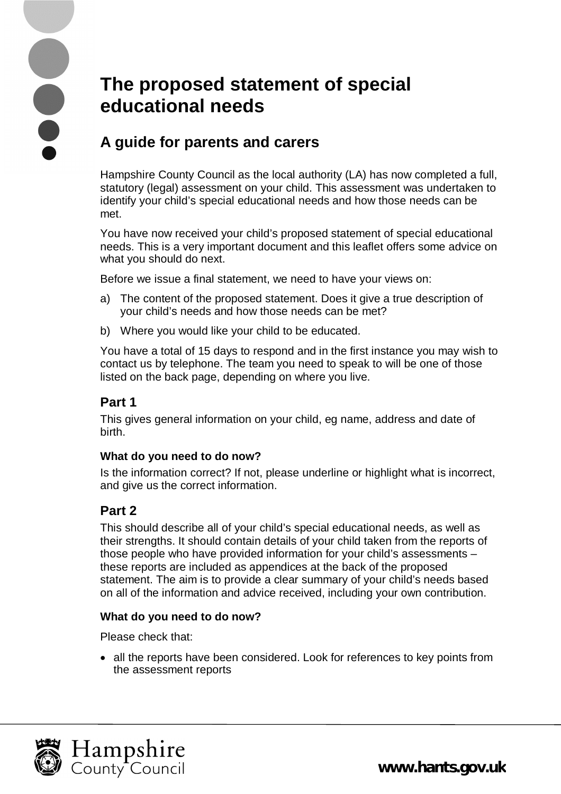# **The proposed statement of special educational needs**

## **A guide for parents and carers**

Hampshire County Council as the local authority (LA) has now completed a full, statutory (legal) assessment on your child. This assessment was undertaken to identify your child's special educational needs and how those needs can be met.

You have now received your child's proposed statement of special educational needs. This is a very important document and this leaflet offers some advice on what you should do next.

Before we issue a final statement, we need to have your views on:

- a) The content of the proposed statement. Does it give a true description of your child's needs and how those needs can be met?
- b) Where you would like your child to be educated.

You have a total of 15 days to respond and in the first instance you may wish to contact us by telephone. The team you need to speak to will be one of those listed on the back page, depending on where you live.

## **Part 1**

This gives general information on your child, eg name, address and date of birth.

#### **What do you need to do now?**

Is the information correct? If not, please underline or highlight what is incorrect, and give us the correct information.

## **Part 2**

This should describe all of your child's special educational needs, as well as their strengths. It should contain details of your child taken from the reports of those people who have provided information for your child's assessments – these reports are included as appendices at the back of the proposed statement. The aim is to provide a clear summary of your child's needs based on all of the information and advice received, including your own contribution.

#### **What do you need to do now?**

Please check that:

• all the reports have been considered. Look for references to key points from the assessment reports





**[www.hants.gov.uk](http://www.hants.gov.uk)**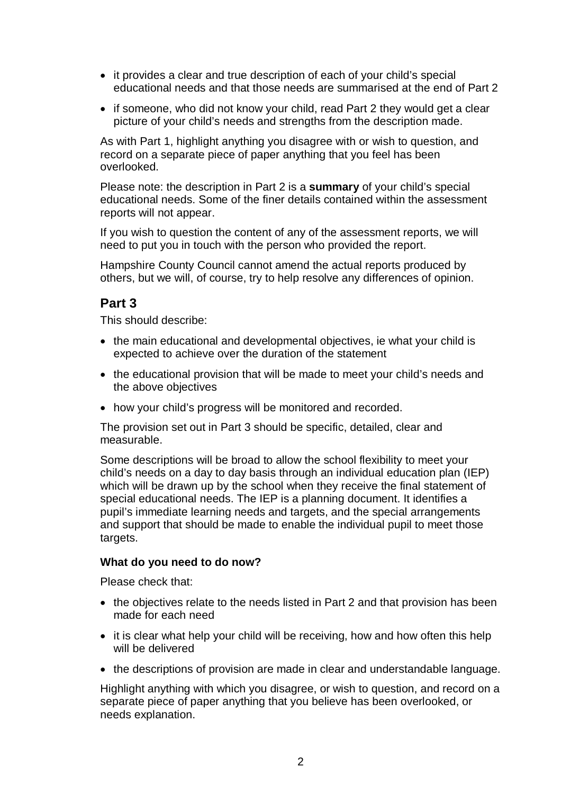- it provides a clear and true description of each of your child's special educational needs and that those needs are summarised at the end of Part 2
- if someone, who did not know your child, read Part 2 they would get a clear picture of your child's needs and strengths from the description made.

As with Part 1, highlight anything you disagree with or wish to question, and record on a separate piece of paper anything that you feel has been overlooked.

Please note: the description in Part 2 is a **summary** of your child's special educational needs. Some of the finer details contained within the assessment reports will not appear.

If you wish to question the content of any of the assessment reports, we will need to put you in touch with the person who provided the report.

Hampshire County Council cannot amend the actual reports produced by others, but we will, of course, try to help resolve any differences of opinion.

#### **Part 3**

This should describe:

- the main educational and developmental objectives, ie what your child is expected to achieve over the duration of the statement
- the educational provision that will be made to meet your child's needs and the above objectives
- how your child's progress will be monitored and recorded.

The provision set out in Part 3 should be specific, detailed, clear and measurable.

Some descriptions will be broad to allow the school flexibility to meet your child's needs on a day to day basis through an individual education plan (IEP) which will be drawn up by the school when they receive the final statement of special educational needs. The IEP is a planning document. It identifies a pupil's immediate learning needs and targets, and the special arrangements and support that should be made to enable the individual pupil to meet those targets.

#### **What do you need to do now?**

Please check that:

- the objectives relate to the needs listed in Part 2 and that provision has been made for each need
- it is clear what help your child will be receiving, how and how often this help will be delivered
- the descriptions of provision are made in clear and understandable language.

Highlight anything with which you disagree, or wish to question, and record on a separate piece of paper anything that you believe has been overlooked, or needs explanation.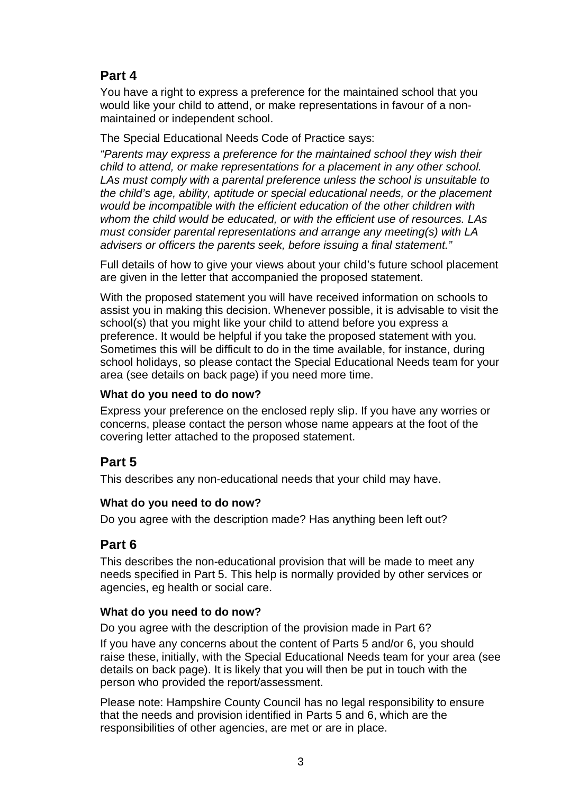## **Part 4**

You have a right to express a preference for the maintained school that you would like your child to attend, or make representations in favour of a nonmaintained or independent school.

The Special Educational Needs Code of Practice says:

*"Parents may express a preference for the maintained school they wish their child to attend, or make representations for a placement in any other school. LAs must comply with a parental preference unless the school is unsuitable to the child's age, ability, aptitude or special educational needs, or the placement would be incompatible with the efficient education of the other children with whom the child would be educated, or with the efficient use of resources. LAs must consider parental representations and arrange any meeting(s) with LA advisers or officers the parents seek, before issuing a final statement."*

Full details of how to give your views about your child's future school placement are given in the letter that accompanied the proposed statement.

With the proposed statement you will have received information on schools to assist you in making this decision. Whenever possible, it is advisable to visit the school(s) that you might like your child to attend before you express a preference. It would be helpful if you take the proposed statement with you. Sometimes this will be difficult to do in the time available, for instance, during school holidays, so please contact the Special Educational Needs team for your area (see details on back page) if you need more time.

#### **What do you need to do now?**

Express your preference on the enclosed reply slip. If you have any worries or concerns, please contact the person whose name appears at the foot of the covering letter attached to the proposed statement.

## **Part 5**

This describes any non-educational needs that your child may have.

#### **What do you need to do now?**

Do you agree with the description made? Has anything been left out?

## **Part 6**

This describes the non-educational provision that will be made to meet any needs specified in Part 5. This help is normally provided by other services or agencies, eg health or social care.

#### **What do you need to do now?**

Do you agree with the description of the provision made in Part 6?

If you have any concerns about the content of Parts 5 and/or 6, you should raise these, initially, with the Special Educational Needs team for your area (see details on back page). It is likely that you will then be put in touch with the person who provided the report/assessment.

Please note: Hampshire County Council has no legal responsibility to ensure that the needs and provision identified in Parts 5 and 6, which are the responsibilities of other agencies, are met or are in place.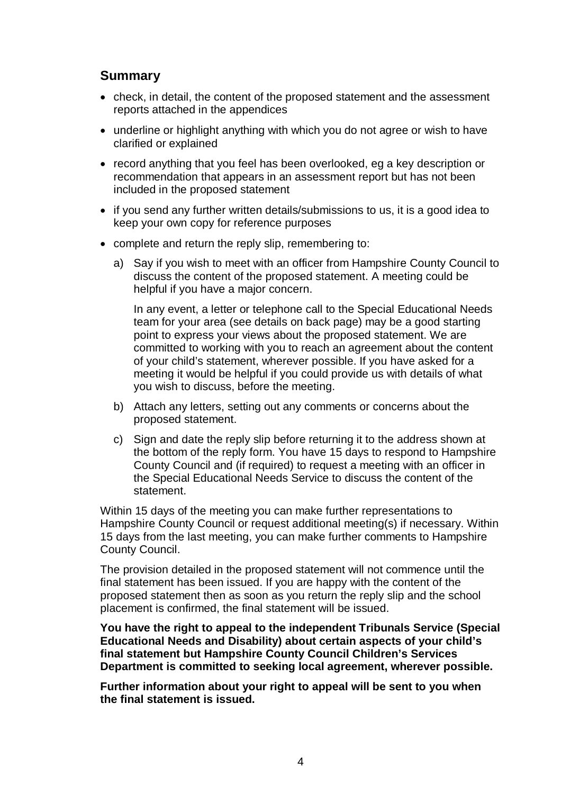#### **Summary**

- check, in detail, the content of the proposed statement and the assessment reports attached in the appendices
- underline or highlight anything with which you do not agree or wish to have clarified or explained
- record anything that you feel has been overlooked, eg a key description or recommendation that appears in an assessment report but has not been included in the proposed statement
- if you send any further written details/submissions to us, it is a good idea to keep your own copy for reference purposes
- complete and return the reply slip, remembering to:
	- a) Say if you wish to meet with an officer from Hampshire County Council to discuss the content of the proposed statement. A meeting could be helpful if you have a major concern.

In any event, a letter or telephone call to the Special Educational Needs team for your area (see details on back page) may be a good starting point to express your views about the proposed statement. We are committed to working with you to reach an agreement about the content of your child's statement, wherever possible. If you have asked for a meeting it would be helpful if you could provide us with details of what you wish to discuss, before the meeting.

- b) Attach any letters, setting out any comments or concerns about the proposed statement.
- c) Sign and date the reply slip before returning it to the address shown at the bottom of the reply form. You have 15 days to respond to Hampshire County Council and (if required) to request a meeting with an officer in the Special Educational Needs Service to discuss the content of the statement.

Within 15 days of the meeting you can make further representations to Hampshire County Council or request additional meeting(s) if necessary. Within 15 days from the last meeting, you can make further comments to Hampshire County Council.

The provision detailed in the proposed statement will not commence until the final statement has been issued. If you are happy with the content of the proposed statement then as soon as you return the reply slip and the school placement is confirmed, the final statement will be issued.

**You have the right to appeal to the independent Tribunals Service (Special Educational Needs and Disability) about certain aspects of your child's final statement but Hampshire County Council Children's Services Department is committed to seeking local agreement, wherever possible.**

**Further information about your right to appeal will be sent to you when the final statement is issued.**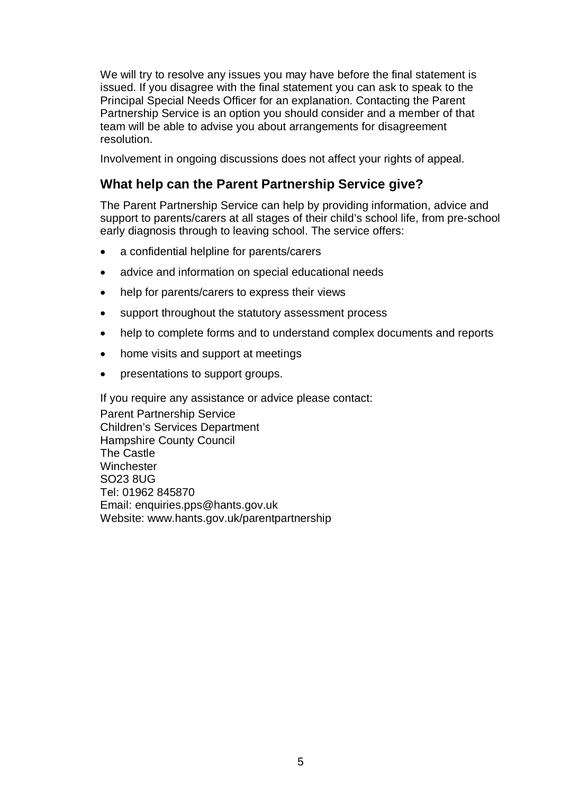We will try to resolve any issues you may have before the final statement is issued. If you disagree with the final statement you can ask to speak to the Principal Special Needs Officer for an explanation. Contacting the Parent Partnership Service is an option you should consider and a member of that team will be able to advise you about arrangements for disagreement resolution.

Involvement in ongoing discussions does not affect your rights of appeal.

#### **What help can the Parent Partnership Service give?**

The Parent Partnership Service can help by providing information, advice and support to parents/carers at all stages of their child's school life, from pre-school early diagnosis through to leaving school. The service offers:

- a confidential helpline for parents/carers
- advice and information on special educational needs
- help for parents/carers to express their views
- support throughout the statutory assessment process
- help to complete forms and to understand complex documents and reports
- home visits and support at meetings
- presentations to support groups.

If you require any assistance or advice please contact: Parent Partnership Service Children's Services Department Hampshire County Council The Castle **Winchester** SO23 8UG Tel: 01962 845870 Email: [enquiries.pps@hants.gov.uk](mailto:enquiries.pps@hants.gov.uk) Website: [www.hants.gov.uk/parentpartnership](http://www.hants.gov.uk/parentpartnership)